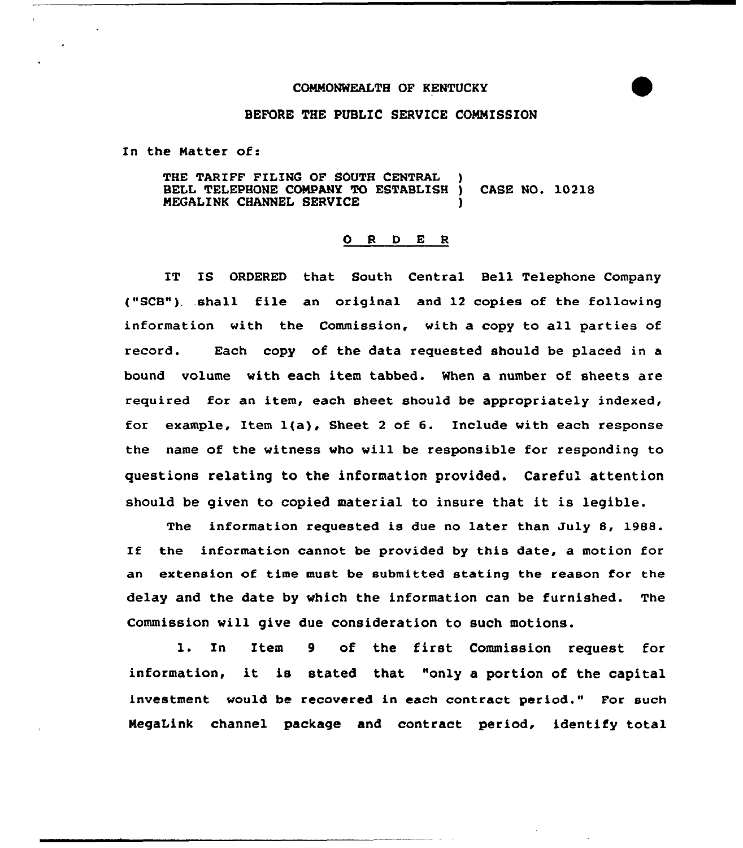## COMMONWEALTH OF KENTUCKY



## BEFORE THE PUBLIC SERVICE CONNISSION

In the Natter of:

THE TARIFF FILING OF SOUTH CENTRAL BELL TELEPHONE CONPANY YO ESTABLISH ) CASE NO. 10218 NEGALINK CHANNEL SERVICE )

## ORDER

IT IS ORDERED that South Central Bell Telephone Company ("SCB"). shall file an original and 12 copies of the following information with the Commission, with a copy to a11 parties of record. Each copy of the data requested should be placed in a bound volume with each item tabbed. When a number of sheets are required for an item, each sheet should be appropriately indexed, for example, Item l(a), Sheet <sup>2</sup> of 6. Include with each response the name of the witness who will be responsible for responding to questions relating to the information provided. Careful attention should be given to copied material to insure that it is legible.

The information requested is due no later than July 8, 1988. If the information cannot be provided by this date, a motion for an extension of time must be submitted stating the reason for the delay and the date by which the information can be furnished. The Commission will give due consideration to such motions.

l. In Item <sup>9</sup> of the first Commission request for information, it is stated that "only <sup>a</sup> portion of the capital investment would be recovered in each contract period." For such NegaLink channel package and contract period, identify total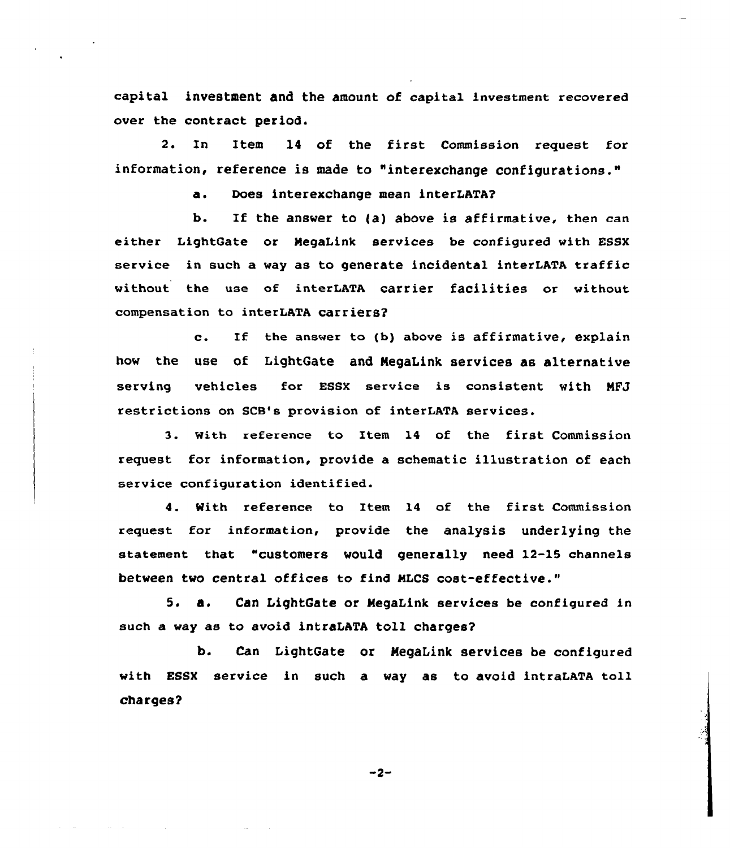capital investment and the amount of capital investment recovered over the contract period.

2. In Item 14 of the first Commission request for information, reference is made to "interexchange configurations."

a. Does interexchange mean interLATA?

b. If the answer to {a) above is affirmative, then can either LightGate or NegaLink services be configured with ESSX service in such a way as to generate incidental interLATA traffic without the use of interLATA carrier facilities or without compensation to interLATA carriers?

c. If the answer to (b) above is affirmative, explain how the use of LightGate and MegaLink services as alternative serving vehicles for ESSX service is consistent with NFJ restrictions on SCB's provision of interLATA services.

3. with reference to Item 14 of the first Commission request for information, provide a schematic illustration of each service configuration identified.

4. With reference to Item 14 of the first Commission request for information, provide the analysis underlying the statement that "customers would generally need 12-15 channels between two central offices to find MLCS cost-effective."

5. a. Can LightGate or MegaLink services be configured in such a way as to avoid intraLATA toll charges?

b. Can LightGate or MegaLink services be configured with ESSX service in such a way as to avoid intraLATA toll charges?

 $-2-$